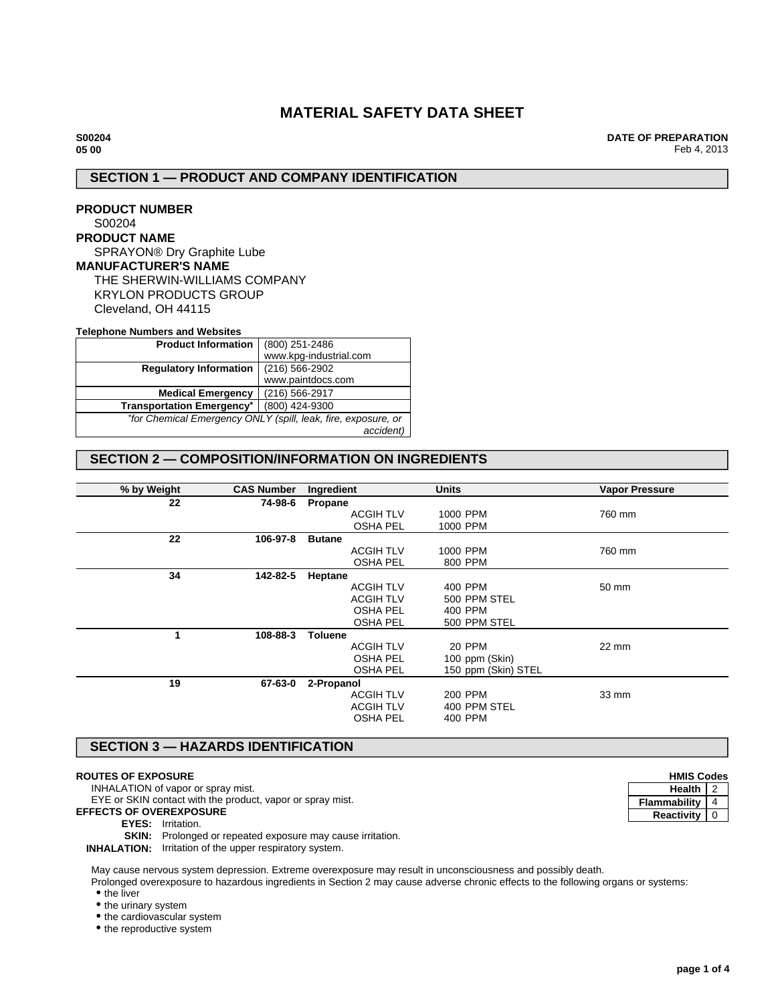# **MATERIAL SAFETY DATA SHEET**

**S00204 05 00**

**DATE OF PREPARATION** Feb 4, 2013

# **SECTION 1 — PRODUCT AND COMPANY IDENTIFICATION**

## **PRODUCT NUMBER** S00204

## **PRODUCT NAME**

SPRAYON® Dry Graphite Lube

## **MANUFACTURER'S NAME**

THE SHERWIN-WILLIAMS COMPANY KRYLON PRODUCTS GROUP Cleveland, OH 44115

### **Telephone Numbers and Websites**

| <b>Product Information</b>       | (800) 251-2486                                                |  |
|----------------------------------|---------------------------------------------------------------|--|
|                                  | www.kpg-industrial.com                                        |  |
| <b>Regulatory Information</b>    | (216) 566-2902                                                |  |
|                                  | www.paintdocs.com                                             |  |
| <b>Medical Emergency</b>         | (216) 566-2917                                                |  |
| <b>Transportation Emergency*</b> | (800) 424-9300                                                |  |
|                                  | *for Chemical Emergency ONLY (spill, leak, fire, exposure, or |  |
|                                  | accident)                                                     |  |

# **SECTION 2 — COMPOSITION/INFORMATION ON INGREDIENTS**

| % by Weight | <b>CAS Number</b> | Ingredient       | <b>Units</b>        | <b>Vapor Pressure</b> |
|-------------|-------------------|------------------|---------------------|-----------------------|
| 22          | 74-98-6           | Propane          |                     |                       |
|             |                   | <b>ACGIH TLV</b> | 1000 PPM            | 760 mm                |
|             |                   | <b>OSHA PEL</b>  | 1000 PPM            |                       |
| 22          | 106-97-8          | <b>Butane</b>    |                     |                       |
|             |                   | <b>ACGIH TLV</b> | 1000 PPM            | 760 mm                |
|             |                   | <b>OSHA PEL</b>  | 800 PPM             |                       |
| 34          | 142-82-5          | Heptane          |                     |                       |
|             |                   | <b>ACGIH TLV</b> | 400 PPM             | 50 mm                 |
|             |                   | <b>ACGIH TLV</b> | 500 PPM STEL        |                       |
|             |                   | <b>OSHA PEL</b>  | 400 PPM             |                       |
|             |                   | <b>OSHA PEL</b>  | 500 PPM STEL        |                       |
| 1           | 108-88-3          | <b>Toluene</b>   |                     |                       |
|             |                   | <b>ACGIH TLV</b> | 20 PPM              | 22 mm                 |
|             |                   | <b>OSHA PEL</b>  | 100 ppm (Skin)      |                       |
|             |                   | <b>OSHA PEL</b>  | 150 ppm (Skin) STEL |                       |
| 19          | 67-63-0           | 2-Propanol       |                     |                       |
|             |                   | <b>ACGIH TLV</b> | 200 PPM             | 33 mm                 |
|             |                   | <b>ACGIH TLV</b> | 400 PPM STEL        |                       |
|             |                   | <b>OSHA PEL</b>  | 400 PPM             |                       |
|             |                   |                  |                     |                       |

## **SECTION 3 — HAZARDS IDENTIFICATION**

## **ROUTES OF EXPOSURE**

INHALATION of vapor or spray mist.

EYE or SKIN contact with the product, vapor or spray mist.

**EFFECTS OF OVEREXPOSURE**

#### **EYES:** Irritation.

**SKIN:** Prolonged or repeated exposure may cause irritation.

**INHALATION:** Irritation of the upper respiratory system.

May cause nervous system depression. Extreme overexposure may result in unconsciousness and possibly death.

Prolonged overexposure to hazardous ingredients in Section 2 may cause adverse chronic effects to the following organs or systems:

• the liver

• the urinary system

• the cardiovascular system

• the reproductive system

| <b>HMIS Codes</b> |  |
|-------------------|--|
| <b>Health</b>     |  |
| Flammability      |  |
| Reactivity        |  |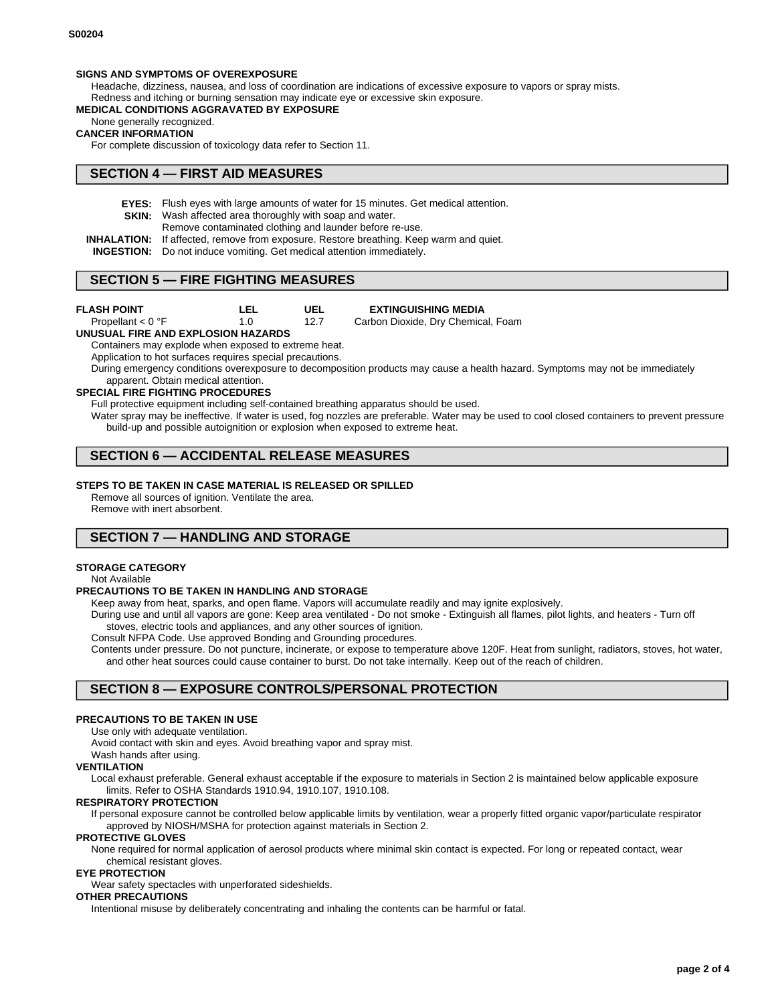### **SIGNS AND SYMPTOMS OF OVEREXPOSURE**

Headache, dizziness, nausea, and loss of coordination are indications of excessive exposure to vapors or spray mists. Redness and itching or burning sensation may indicate eye or excessive skin exposure.

### **MEDICAL CONDITIONS AGGRAVATED BY EXPOSURE**

None generally recognized.

#### **CANCER INFORMATION**

For complete discussion of toxicology data refer to Section 11.

## **SECTION 4 — FIRST AID MEASURES**

**EYES:** Flush eyes with large amounts of water for 15 minutes. Get medical attention.

**UEL**

- **SKIN:** Wash affected area thoroughly with soap and water.
	- Remove contaminated clothing and launder before re-use.
- **INHALATION:** If affected, remove from exposure. Restore breathing. Keep warm and quiet.
- **INGESTION:** Do not induce vomiting. Get medical attention immediately.

## **SECTION 5 — FIRE FIGHTING MEASURES**

Propellant < 0 °F

**EXTINGUISHING MEDIA** Carbon Dioxide, Dry Chemical, Foam

12.7 1.0

**LEL**

### **UNUSUAL FIRE AND EXPLOSION HAZARDS**

Containers may explode when exposed to extreme heat.

Application to hot surfaces requires special precautions.

During emergency conditions overexposure to decomposition products may cause a health hazard. Symptoms may not be immediately apparent. Obtain medical attention.

### **SPECIAL FIRE FIGHTING PROCEDURES**

Full protective equipment including self-contained breathing apparatus should be used.

Water spray may be ineffective. If water is used, fog nozzles are preferable. Water may be used to cool closed containers to prevent pressure build-up and possible autoignition or explosion when exposed to extreme heat.

# **SECTION 6 — ACCIDENTAL RELEASE MEASURES**

### **STEPS TO BE TAKEN IN CASE MATERIAL IS RELEASED OR SPILLED**

Remove all sources of ignition. Ventilate the area.

Remove with inert absorbent.

# **SECTION 7 — HANDLING AND STORAGE**

### **STORAGE CATEGORY**

Not Available

#### **PRECAUTIONS TO BE TAKEN IN HANDLING AND STORAGE**

Keep away from heat, sparks, and open flame. Vapors will accumulate readily and may ignite explosively.

During use and until all vapors are gone: Keep area ventilated - Do not smoke - Extinguish all flames, pilot lights, and heaters - Turn off stoves, electric tools and appliances, and any other sources of ignition.

Consult NFPA Code. Use approved Bonding and Grounding procedures.

Contents under pressure. Do not puncture, incinerate, or expose to temperature above 120F. Heat from sunlight, radiators, stoves, hot water, and other heat sources could cause container to burst. Do not take internally. Keep out of the reach of children.

## **SECTION 8 — EXPOSURE CONTROLS/PERSONAL PROTECTION**

#### **PRECAUTIONS TO BE TAKEN IN USE**

Use only with adequate ventilation.

Avoid contact with skin and eyes. Avoid breathing vapor and spray mist.

Wash hands after using.

### **VENTILATION**

Local exhaust preferable. General exhaust acceptable if the exposure to materials in Section 2 is maintained below applicable exposure limits. Refer to OSHA Standards 1910.94, 1910.107, 1910.108.

#### **RESPIRATORY PROTECTION**

If personal exposure cannot be controlled below applicable limits by ventilation, wear a properly fitted organic vapor/particulate respirator approved by NIOSH/MSHA for protection against materials in Section 2.

#### **PROTECTIVE GLOVES**

None required for normal application of aerosol products where minimal skin contact is expected. For long or repeated contact, wear chemical resistant gloves.

### **EYE PROTECTION**

Wear safety spectacles with unperforated sideshields.

### **OTHER PRECAUTIONS**

Intentional misuse by deliberately concentrating and inhaling the contents can be harmful or fatal.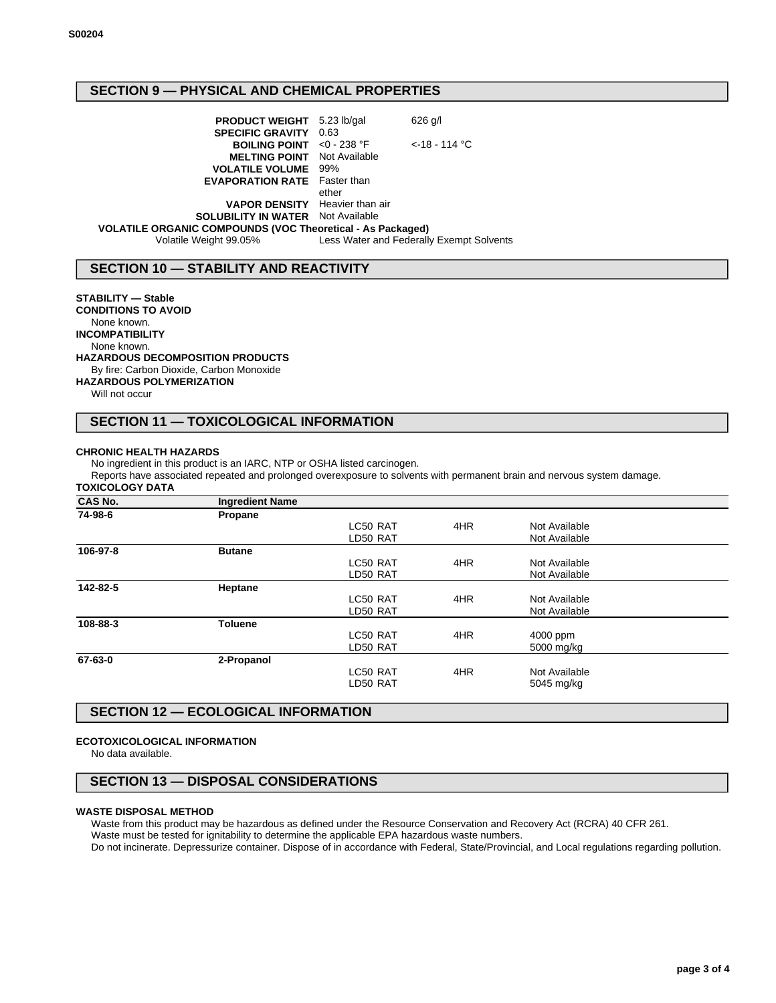## **SECTION 9 — PHYSICAL AND CHEMICAL PROPERTIES**

**PRODUCT WEIGHT** 5.23 lb/gal 626 g/l **SPECIFIC GRAVITY** 0.63 **BOILING POINT** <0 - 238 °F <-18 - 114 °C **MELTING POINT** Not Available **VOLATILE VOLUME** 99% **EVAPORATION RATE** Faster than ether **VAPOR DENSITY** Heavier than air **SOLUBILITY IN WATER** Not Available **VOLATILE ORGANIC COMPOUNDS (VOC Theoretical - As Packaged)** Volatile Weight 99.05% Less Water and Federally Exempt Solvents

## **SECTION 10 — STABILITY AND REACTIVITY**

### **STABILITY — Stable**

**CONDITIONS TO AVOID** None known. **INCOMPATIBILITY** None known. **HAZARDOUS DECOMPOSITION PRODUCTS** By fire: Carbon Dioxide, Carbon Monoxide

# **HAZARDOUS POLYMERIZATION**

Will not occur

## **SECTION 11 — TOXICOLOGICAL INFORMATION**

### **CHRONIC HEALTH HAZARDS**

No ingredient in this product is an IARC, NTP or OSHA listed carcinogen.

Reports have associated repeated and prolonged overexposure to solvents with permanent brain and nervous system damage.

#### **TOXICOLOGY DATA**

| <b>CAS No.</b> | <b>Ingredient Name</b> |          |     |               |  |
|----------------|------------------------|----------|-----|---------------|--|
| 74-98-6        | Propane                |          |     |               |  |
|                |                        | LC50 RAT | 4HR | Not Available |  |
|                |                        | LD50 RAT |     | Not Available |  |
| 106-97-8       | <b>Butane</b>          |          |     |               |  |
|                |                        | LC50 RAT | 4HR | Not Available |  |
|                |                        | LD50 RAT |     | Not Available |  |
| 142-82-5       | Heptane                |          |     |               |  |
|                |                        | LC50 RAT | 4HR | Not Available |  |
|                |                        | LD50 RAT |     | Not Available |  |
| 108-88-3       | <b>Toluene</b>         |          |     |               |  |
|                |                        | LC50 RAT | 4HR | 4000 ppm      |  |
|                |                        | LD50 RAT |     | 5000 mg/kg    |  |
| 67-63-0        | 2-Propanol             |          |     |               |  |
|                |                        | LC50 RAT | 4HR | Not Available |  |
|                |                        | LD50 RAT |     | 5045 mg/kg    |  |
|                |                        |          |     |               |  |

## **SECTION 12 — ECOLOGICAL INFORMATION**

### **ECOTOXICOLOGICAL INFORMATION**

No data available.

## **SECTION 13 — DISPOSAL CONSIDERATIONS**

#### **WASTE DISPOSAL METHOD**

Waste from this product may be hazardous as defined under the Resource Conservation and Recovery Act (RCRA) 40 CFR 261. Waste must be tested for ignitability to determine the applicable EPA hazardous waste numbers.